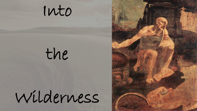

# the

# Wilderness

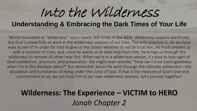## Into the Wilderness

#### **Understanding & Embracing the Dark Times of Your Life**

Words translated as "wilderness" occur nearly 300 times in the Bible. Wilderness seasons are brutal, but God is powerfully at work in the wilderness seasons of our lives. The only question is, do we have eyes to see it? In order for God to give us the choice whether or not to trust him, He must present us with a moment of crisis, and, since he wants us to seek help from Him, he brings us through the wilderness to remove all other help first. When we're in a wilderness season, it's easy to lose sight of God's protection, provision, and preparation. We might even wonder, "How can I trust God's goodness when I'm in this desolate place?" But remember Jesus! He went through the ultimate wilderness—the desolation and humiliation of dying under the curse of God. If that is the measure of God's love and commitment to us, we can trust him in our own wilderness seasons. Let's journey together!

#### **Wilderness: The Experience – VICTIM to HERO** *Jonah Chapter 2*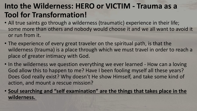#### **Into the Wilderness: HERO or VICTIM - Trauma as a Tool for Transformation!**

- All true saints go through a wilderness (traumatic) experience in their life; some more than others and nobody would choose it and we all want to avoid it or run from it.
- The experience of every great traveler on the spiritual path, is that the wilderness (trauma) is a place through which we must travel in order to reach a place of greater intimacy with God.
- In the wilderness we question everything we ever learned How can a loving God allow this to happen to me? Have I been fooling myself all these years? Does God really exist? Why doesn't He show Himself, and take some kind of action, and mount a rescue mission?
- **Soul searching and "self examination" are the things that takes place in the wilderness.**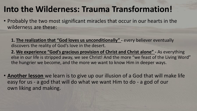#### **Into the Wilderness: Trauma Transformation!**

• Probably the two most significant miracles that occur in our hearts in the wilderness are these:

**1. The realization that "God loves us unconditionally" -** every believer eventually discovers the reality of God's love in the desert.

**2. We experience "God's gracious provision of Christ and Christ alone" -** As everything else in our life is stripped away, we see Christ! And the more "we feast of the Living Word" the hungrier we become, and the more we want to know Him in deeper ways.

• **Another lesson** we learn is to give up our illusion of a God that will make life easy for us - a god that will do what we want Him to do - a god of our own liking and making.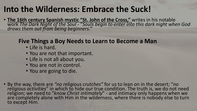#### **Into the Wilderness: Embrace the Suck!**

• **The 16th century Spanish mystic "St. John of the Cross,"** writes in his notable work *The Dark Night of the Soul* - "*Souls begin to enter into this dark night when God draws them out from being beginners."*

#### **Five Things a Boy Needs to Learn to Become a Man**

- Life is hard.
- You are not that important.
- Life is not all about you.
- You are not in control.
- You are going to die.
- By the way, there are *"no religious crutches"* for us to lean on in the desert; "*no religious activities*" in which to hide our true condition. The truth is, we do not need religion; we need to "*know Christ intimately*" - and intimacy only happens when we are completely alone with Him in the wilderness, where there is nobody else to turn to except Him.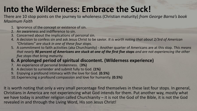### **Into the Wilderness: Embrace the Suck!**

There are 10 stop points on the journey to wholeness (Christian maturity) *from George Barna's book Maximum Faith*

- 1. Ignorance of the concept or existence of sin.
- 2. An awareness and indifference to sin.
- 3. Concerned about the implications of personal sin.
- 4. A decision to confess sin and ask Jesus Christ to be savior*. It is worth noting that about 2/3rd of American "Christians" are stuck in one of these four stops.*
- 5. A commitment to faith activities (aka Churchianity) Another quarter of Americans are at this stop. *This means that nearly 90 percent of Americans are stuck at one of the first five stops and are not experiencing the other five stops that bring maturity.*
- **6. A prolonged period of spiritual discontent. (Wilderness experience)**
- 7. An experience of personal brokenness. (**3%)**
- 8. A decision to surrender and submit fully to God. **(1%)**
- 9. Enjoying a profound intimacy with the love for God. **(0.5%)**
- 10. Experiencing a profound compassion and love for humanity. **(0.5%)**

It is worth noting that only a very small percentage find themselves in these last four stops. In general, Christians in America are not experiencing what God intends for them. Put another way, mostly what we have today is another religion called Churchianity – it is not the God of the Bible, it is not the God revealed in and through the Living Word, His son Jesus Christ!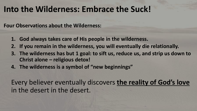#### **Into the Wilderness: Embrace the Suck!**

**Four Observations about the Wilderness:**

- **1. God always takes care of His people in the wilderness.**
- **2. If you remain in the wilderness, you will eventually die relationally.**
- **3. The wilderness has but 1 goal: to sift us, reduce us, and strip us down to Christ alone – religious detox!**
- **4. The wilderness is a symbol of "new beginnings"**

Every believer eventually discovers **the reality of God's love**  in the desert in the desert.